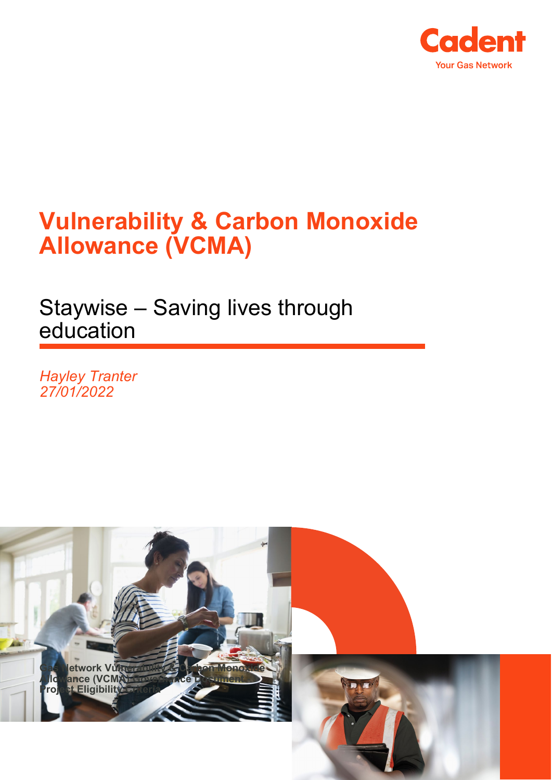

## **Vulnerability & Carbon Monoxide Allowance (VCMA)**

Staywise – Saving lives through education

*Hayley Tranter 27/01/2022*

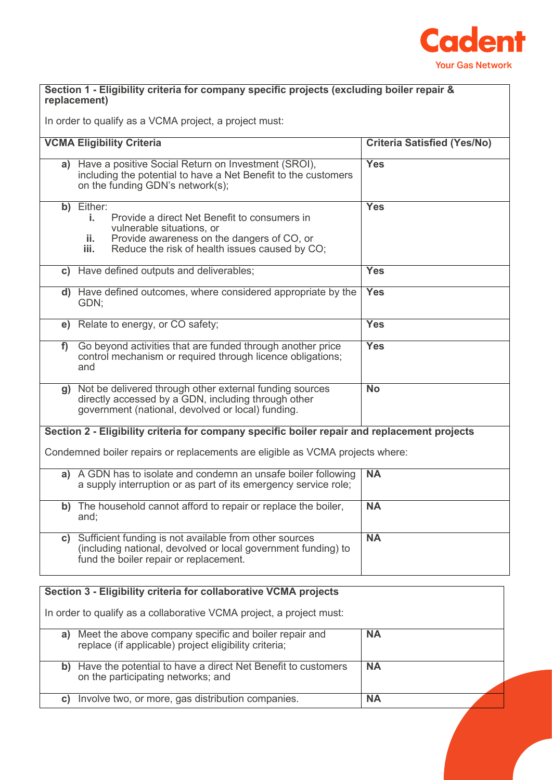

## **Section 1 - Eligibility criteria for company specific projects (excluding boiler repair & replacement)**

In order to qualify as a VCMA project, a project must:

|                                                                                              | <b>VCMA Eligibility Criteria</b>                                                                                                                                                                             | <b>Criteria Satisfied (Yes/No)</b> |  |  |
|----------------------------------------------------------------------------------------------|--------------------------------------------------------------------------------------------------------------------------------------------------------------------------------------------------------------|------------------------------------|--|--|
|                                                                                              | a) Have a positive Social Return on Investment (SROI),<br>including the potential to have a Net Benefit to the customers<br>on the funding GDN's network(s);                                                 | <b>Yes</b>                         |  |  |
|                                                                                              | b) Either:<br>Provide a direct Net Benefit to consumers in<br>j.<br>vulnerable situations, or<br>Provide awareness on the dangers of CO, or<br>ii.<br>Reduce the risk of health issues caused by CO;<br>iii. | <b>Yes</b>                         |  |  |
|                                                                                              | c) Have defined outputs and deliverables;                                                                                                                                                                    | <b>Yes</b>                         |  |  |
|                                                                                              | d) Have defined outcomes, where considered appropriate by the<br>GDN:                                                                                                                                        | <b>Yes</b>                         |  |  |
|                                                                                              | e) Relate to energy, or CO safety;                                                                                                                                                                           | <b>Yes</b>                         |  |  |
| f                                                                                            | Go beyond activities that are funded through another price<br>control mechanism or required through licence obligations;<br>and                                                                              | <b>Yes</b>                         |  |  |
| g)                                                                                           | Not be delivered through other external funding sources<br>directly accessed by a GDN, including through other<br>government (national, devolved or local) funding.                                          | $\overline{No}$                    |  |  |
| Section 2 - Eligibility criteria for company specific boiler repair and replacement projects |                                                                                                                                                                                                              |                                    |  |  |
| Condemned boiler repairs or replacements are eligible as VCMA projects where:                |                                                                                                                                                                                                              |                                    |  |  |
|                                                                                              | a) A GDN has to isolate and condemn an unsafe boiler following<br>a supply interruption or as part of its emergency service role;                                                                            | <b>NA</b>                          |  |  |
|                                                                                              | b) The household cannot afford to repair or replace the boiler,<br>and;                                                                                                                                      | <b>NA</b>                          |  |  |
| C)                                                                                           | Sufficient funding is not available from other sources<br>(including national, devolved or local government funding) to<br>fund the boiler repair or replacement.                                            | $\overline{NA}$                    |  |  |

| Section 3 - Eligibility criteria for collaborative VCMA projects     |                                                                                                                |           |  |
|----------------------------------------------------------------------|----------------------------------------------------------------------------------------------------------------|-----------|--|
| In order to qualify as a collaborative VCMA project, a project must: |                                                                                                                |           |  |
| a)                                                                   | Meet the above company specific and boiler repair and<br>replace (if applicable) project eligibility criteria; | <b>NA</b> |  |
| b)                                                                   | Have the potential to have a direct Net Benefit to customers<br>on the participating networks; and             | <b>NA</b> |  |
| C)                                                                   | Involve two, or more, gas distribution companies.                                                              | <b>NA</b> |  |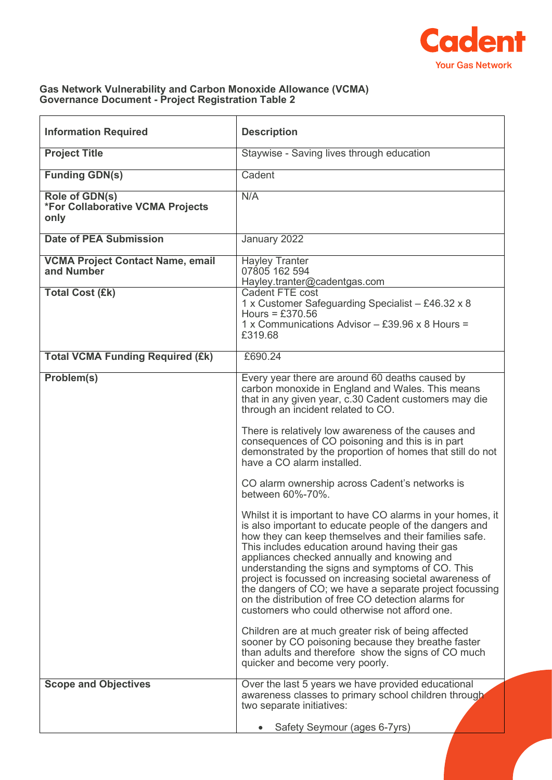

## **Gas Network Vulnerability and Carbon Monoxide Allowance (VCMA) Governance Document - Project Registration Table 2**

| <b>Information Required</b>                                | <b>Description</b>                                                                                                                                                                                                                                                                                                                                                                                                                                                                                                                                                                                                                                                                                                                                                                                                                                                                                                                                                                                                                                                                                                                                                                                                                                         |  |
|------------------------------------------------------------|------------------------------------------------------------------------------------------------------------------------------------------------------------------------------------------------------------------------------------------------------------------------------------------------------------------------------------------------------------------------------------------------------------------------------------------------------------------------------------------------------------------------------------------------------------------------------------------------------------------------------------------------------------------------------------------------------------------------------------------------------------------------------------------------------------------------------------------------------------------------------------------------------------------------------------------------------------------------------------------------------------------------------------------------------------------------------------------------------------------------------------------------------------------------------------------------------------------------------------------------------------|--|
| <b>Project Title</b>                                       | Staywise - Saving lives through education                                                                                                                                                                                                                                                                                                                                                                                                                                                                                                                                                                                                                                                                                                                                                                                                                                                                                                                                                                                                                                                                                                                                                                                                                  |  |
| <b>Funding GDN(s)</b>                                      | Cadent                                                                                                                                                                                                                                                                                                                                                                                                                                                                                                                                                                                                                                                                                                                                                                                                                                                                                                                                                                                                                                                                                                                                                                                                                                                     |  |
| Role of GDN(s)<br>*For Collaborative VCMA Projects<br>only | N/A                                                                                                                                                                                                                                                                                                                                                                                                                                                                                                                                                                                                                                                                                                                                                                                                                                                                                                                                                                                                                                                                                                                                                                                                                                                        |  |
| <b>Date of PEA Submission</b>                              | January 2022                                                                                                                                                                                                                                                                                                                                                                                                                                                                                                                                                                                                                                                                                                                                                                                                                                                                                                                                                                                                                                                                                                                                                                                                                                               |  |
| <b>VCMA Project Contact Name, email</b><br>and Number      | <b>Hayley Tranter</b><br>07805 162 594<br>Hayley.tranter@cadentgas.com                                                                                                                                                                                                                                                                                                                                                                                                                                                                                                                                                                                                                                                                                                                                                                                                                                                                                                                                                                                                                                                                                                                                                                                     |  |
| <b>Total Cost (£k)</b>                                     | Cadent FTE cost<br>1 x Customer Safeguarding Specialist - £46.32 x 8<br>Hours = $£370.56$<br>1 x Communications Advisor - £39.96 x 8 Hours =<br>£319.68                                                                                                                                                                                                                                                                                                                                                                                                                                                                                                                                                                                                                                                                                                                                                                                                                                                                                                                                                                                                                                                                                                    |  |
| <b>Total VCMA Funding Required (£k)</b>                    | £690.24                                                                                                                                                                                                                                                                                                                                                                                                                                                                                                                                                                                                                                                                                                                                                                                                                                                                                                                                                                                                                                                                                                                                                                                                                                                    |  |
| Problem(s)                                                 | Every year there are around 60 deaths caused by<br>carbon monoxide in England and Wales. This means<br>that in any given year, c.30 Cadent customers may die<br>through an incident related to CO.<br>There is relatively low awareness of the causes and<br>consequences of CO poisoning and this is in part<br>demonstrated by the proportion of homes that still do not<br>have a CO alarm installed.<br>CO alarm ownership across Cadent's networks is<br>between 60%-70%.<br>Whilst it is important to have CO alarms in your homes, it<br>is also important to educate people of the dangers and<br>how they can keep themselves and their families safe.<br>This includes education around having their gas<br>appliances checked annually and knowing and<br>understanding the signs and symptoms of CO. This<br>project is focussed on increasing societal awareness of<br>the dangers of CO; we have a separate project focussing<br>on the distribution of free CO detection alarms for<br>customers who could otherwise not afford one.<br>Children are at much greater risk of being affected<br>sooner by CO poisoning because they breathe faster<br>than adults and therefore show the signs of CO much<br>quicker and become very poorly. |  |
| <b>Scope and Objectives</b>                                | Over the last 5 years we have provided educational<br>awareness classes to primary school children through<br>two separate initiatives:                                                                                                                                                                                                                                                                                                                                                                                                                                                                                                                                                                                                                                                                                                                                                                                                                                                                                                                                                                                                                                                                                                                    |  |
|                                                            | Safety Seymour (ages 6-7yrs)                                                                                                                                                                                                                                                                                                                                                                                                                                                                                                                                                                                                                                                                                                                                                                                                                                                                                                                                                                                                                                                                                                                                                                                                                               |  |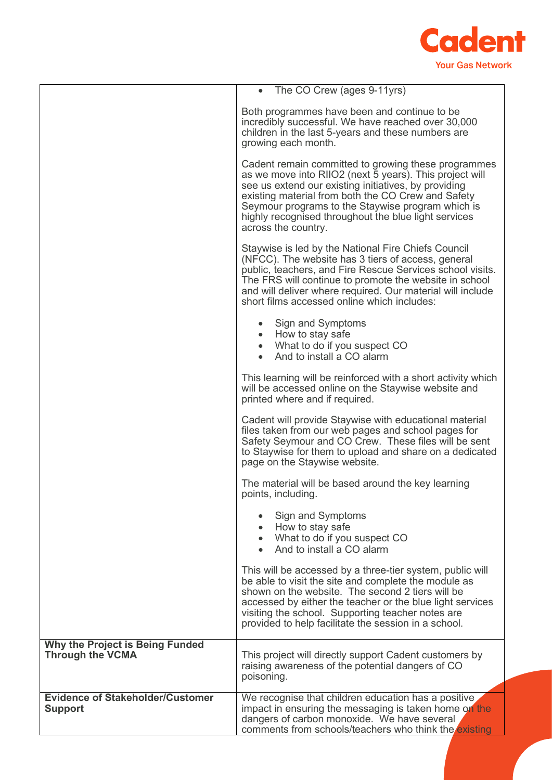

|                                                            | • The CO Crew (ages 9-11yrs)                                                                                                                                                                                                                                                                                                                                     |  |
|------------------------------------------------------------|------------------------------------------------------------------------------------------------------------------------------------------------------------------------------------------------------------------------------------------------------------------------------------------------------------------------------------------------------------------|--|
|                                                            | Both programmes have been and continue to be<br>incredibly successful. We have reached over 30,000<br>children in the last 5-years and these numbers are<br>growing each month.                                                                                                                                                                                  |  |
|                                                            | Cadent remain committed to growing these programmes<br>as we move into RIIO2 (next 5 years). This project will<br>see us extend our existing initiatives, by providing<br>existing material from both the CO Crew and Safety<br>Seymour programs to the Staywise program which is<br>highly recognised throughout the blue light services<br>across the country. |  |
|                                                            | Staywise is led by the National Fire Chiefs Council<br>(NFCC). The website has 3 tiers of access, general<br>public, teachers, and Fire Rescue Services school visits.<br>The FRS will continue to promote the website in school<br>and will deliver where required. Our material will include<br>short films accessed online which includes:                    |  |
|                                                            | Sign and Symptoms<br>How to stay safe<br>$\bullet$<br>• What to do if you suspect CO<br>And to install a CO alarm                                                                                                                                                                                                                                                |  |
|                                                            | This learning will be reinforced with a short activity which<br>will be accessed online on the Staywise website and<br>printed where and if required.                                                                                                                                                                                                            |  |
|                                                            | Cadent will provide Staywise with educational material<br>files taken from our web pages and school pages for<br>Safety Seymour and CO Crew. These files will be sent<br>to Staywise for them to upload and share on a dedicated<br>page on the Staywise website.                                                                                                |  |
|                                                            | The material will be based around the key learning<br>points, including.                                                                                                                                                                                                                                                                                         |  |
|                                                            | Sign and Symptoms<br>How to stay safe<br>$\bullet$<br>• What to do if you suspect CO<br>And to install a CO alarm                                                                                                                                                                                                                                                |  |
|                                                            | This will be accessed by a three-tier system, public will<br>be able to visit the site and complete the module as<br>shown on the website. The second 2 tiers will be<br>accessed by either the teacher or the blue light services<br>visiting the school. Supporting teacher notes are<br>provided to help facilitate the session in a school.                  |  |
| Why the Project is Being Funded<br><b>Through the VCMA</b> | This project will directly support Cadent customers by<br>raising awareness of the potential dangers of CO<br>poisoning.                                                                                                                                                                                                                                         |  |
| <b>Evidence of Stakeholder/Customer</b><br><b>Support</b>  | We recognise that children education has a positive,<br>impact in ensuring the messaging is taken home on the<br>dangers of carbon monoxide. We have several<br>comments from schools/teachers who think the existing                                                                                                                                            |  |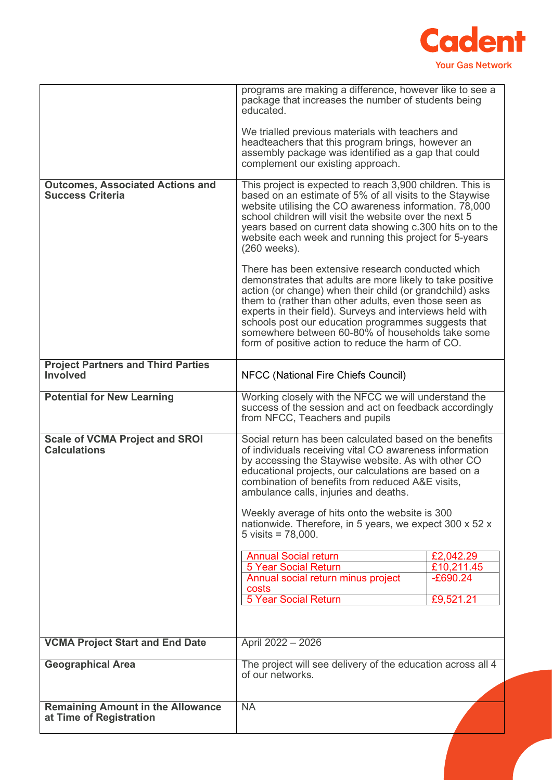

|                                                                     | programs are making a difference, however like to see a<br>package that increases the number of students being<br>educated.                                                                                                                                                                                                                                                                                                                                      |            |
|---------------------------------------------------------------------|------------------------------------------------------------------------------------------------------------------------------------------------------------------------------------------------------------------------------------------------------------------------------------------------------------------------------------------------------------------------------------------------------------------------------------------------------------------|------------|
|                                                                     | We trialled previous materials with teachers and<br>headteachers that this program brings, however an<br>assembly package was identified as a gap that could<br>complement our existing approach.                                                                                                                                                                                                                                                                |            |
| <b>Outcomes, Associated Actions and</b><br><b>Success Criteria</b>  | This project is expected to reach 3,900 children. This is<br>based on an estimate of 5% of all visits to the Staywise<br>website utilising the CO awareness information. 78,000<br>school children will visit the website over the next 5<br>years based on current data showing c.300 hits on to the<br>website each week and running this project for 5-years<br>$(260$ weeks).                                                                                |            |
|                                                                     | There has been extensive research conducted which<br>demonstrates that adults are more likely to take positive<br>action (or change) when their child (or grandchild) asks<br>them to (rather than other adults, even those seen as<br>experts in their field). Surveys and interviews held with<br>schools post our education programmes suggests that<br>somewhere between 60-80% of households take some<br>form of positive action to reduce the harm of CO. |            |
| <b>Project Partners and Third Parties</b><br><b>Involved</b>        | NFCC (National Fire Chiefs Council)                                                                                                                                                                                                                                                                                                                                                                                                                              |            |
| <b>Potential for New Learning</b>                                   | Working closely with the NFCC we will understand the<br>success of the session and act on feedback accordingly<br>from NFCC, Teachers and pupils                                                                                                                                                                                                                                                                                                                 |            |
| <b>Scale of VCMA Project and SROI</b><br><b>Calculations</b>        | Social return has been calculated based on the benefits<br>of individuals receiving vital CO awareness information<br>by accessing the Staywise website. As with other CO<br>educational projects, our calculations are based on a<br>combination of benefits from reduced A&E visits,<br>ambulance calls, injuries and deaths.                                                                                                                                  |            |
|                                                                     | Weekly average of hits onto the website is 300<br>nationwide. Therefore, in 5 years, we expect 300 x 52 x<br>5 visits = $78,000$ .                                                                                                                                                                                                                                                                                                                               |            |
|                                                                     | <b>Annual Social return</b>                                                                                                                                                                                                                                                                                                                                                                                                                                      | £2,042.29  |
|                                                                     | <b>5 Year Social Return</b>                                                                                                                                                                                                                                                                                                                                                                                                                                      | £10,211.45 |
|                                                                     | Annual social return minus project<br>costs                                                                                                                                                                                                                                                                                                                                                                                                                      | $-E690.24$ |
|                                                                     | <b>5 Year Social Return</b>                                                                                                                                                                                                                                                                                                                                                                                                                                      | £9,521.21  |
|                                                                     |                                                                                                                                                                                                                                                                                                                                                                                                                                                                  |            |
| <b>VCMA Project Start and End Date</b>                              | April 2022 - 2026                                                                                                                                                                                                                                                                                                                                                                                                                                                |            |
| <b>Geographical Area</b>                                            | The project will see delivery of the education across all 4<br>of our networks.                                                                                                                                                                                                                                                                                                                                                                                  |            |
| <b>Remaining Amount in the Allowance</b><br>at Time of Registration | <b>NA</b>                                                                                                                                                                                                                                                                                                                                                                                                                                                        |            |